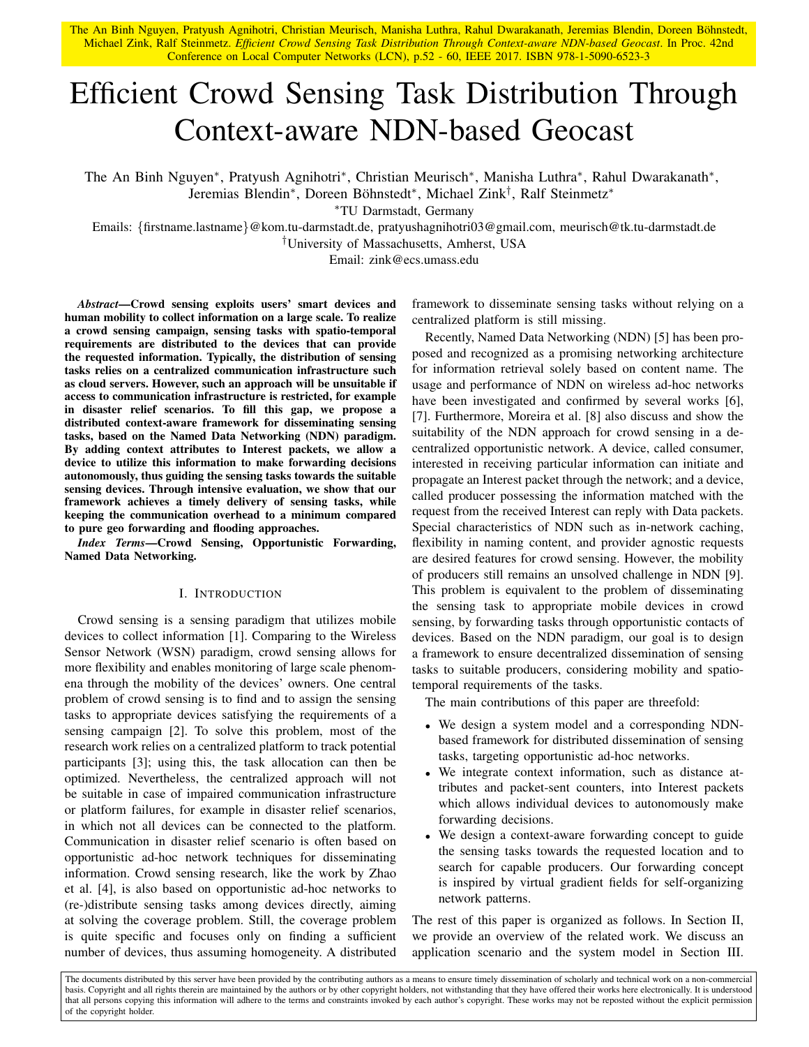The An Binh Nguyen, Pratyush Agnihotri, Christian Meurisch, Manisha Luthra, Rahul Dwarakanath, Jeremias Blendin, Doreen Bohnstedt, ¨ Michael Zink, Ralf Steinmetz. *Efficient Crowd Sensing Task Distribution Through Context-aware NDN-based Geocast*. In Proc. 42nd Conference on Local Computer Networks (LCN), p.52 - 60, IEEE 2017. ISBN 978-1-5090-6523-3

# Efficient Crowd Sensing Task Distribution Through Context-aware NDN-based Geocast

The An Binh Nguyen<sup>\*</sup>, Pratyush Agnihotri<sup>\*</sup>, Christian Meurisch<sup>\*</sup>, Manisha Luthra<sup>\*</sup>, Rahul Dwarakanath<sup>\*</sup>,

Jeremias Blendin<sup>\*</sup>, Doreen Böhnstedt<sup>\*</sup>, Michael Zink<sup>†</sup>, Ralf Steinmetz<sup>\*</sup>

<sup>∗</sup>TU Darmstadt, Germany

Emails: {firstname.lastname}@kom.tu-darmstadt.de, pratyushagnihotri03@gmail.com, meurisch@tk.tu-darmstadt.de †University of Massachusetts, Amherst, USA

Email: zink@ecs.umass.edu

*Abstract*—Crowd sensing exploits users' smart devices and human mobility to collect information on a large scale. To realize a crowd sensing campaign, sensing tasks with spatio-temporal requirements are distributed to the devices that can provide the requested information. Typically, the distribution of sensing tasks relies on a centralized communication infrastructure such as cloud servers. However, such an approach will be unsuitable if access to communication infrastructure is restricted, for example in disaster relief scenarios. To fill this gap, we propose a distributed context-aware framework for disseminating sensing tasks, based on the Named Data Networking (NDN) paradigm. By adding context attributes to Interest packets, we allow a device to utilize this information to make forwarding decisions autonomously, thus guiding the sensing tasks towards the suitable sensing devices. Through intensive evaluation, we show that our framework achieves a timely delivery of sensing tasks, while keeping the communication overhead to a minimum compared to pure geo forwarding and flooding approaches.

*Index Terms*—Crowd Sensing, Opportunistic Forwarding, Named Data Networking.

# I. INTRODUCTION

Crowd sensing is a sensing paradigm that utilizes mobile devices to collect information [1]. Comparing to the Wireless Sensor Network (WSN) paradigm, crowd sensing allows for more flexibility and enables monitoring of large scale phenomena through the mobility of the devices' owners. One central problem of crowd sensing is to find and to assign the sensing tasks to appropriate devices satisfying the requirements of a sensing campaign [2]. To solve this problem, most of the research work relies on a centralized platform to track potential participants [3]; using this, the task allocation can then be optimized. Nevertheless, the centralized approach will not be suitable in case of impaired communication infrastructure or platform failures, for example in disaster relief scenarios, in which not all devices can be connected to the platform. Communication in disaster relief scenario is often based on opportunistic ad-hoc network techniques for disseminating information. Crowd sensing research, like the work by Zhao et al. [4], is also based on opportunistic ad-hoc networks to (re-)distribute sensing tasks among devices directly, aiming at solving the coverage problem. Still, the coverage problem is quite specific and focuses only on finding a sufficient number of devices, thus assuming homogeneity. A distributed

framework to disseminate sensing tasks without relying on a centralized platform is still missing.

Recently, Named Data Networking (NDN) [5] has been proposed and recognized as a promising networking architecture for information retrieval solely based on content name. The usage and performance of NDN on wireless ad-hoc networks have been investigated and confirmed by several works [6], [7]. Furthermore, Moreira et al. [8] also discuss and show the suitability of the NDN approach for crowd sensing in a decentralized opportunistic network. A device, called consumer, interested in receiving particular information can initiate and propagate an Interest packet through the network; and a device, called producer possessing the information matched with the request from the received Interest can reply with Data packets. Special characteristics of NDN such as in-network caching, flexibility in naming content, and provider agnostic requests are desired features for crowd sensing. However, the mobility of producers still remains an unsolved challenge in NDN [9]. This problem is equivalent to the problem of disseminating the sensing task to appropriate mobile devices in crowd sensing, by forwarding tasks through opportunistic contacts of devices. Based on the NDN paradigm, our goal is to design a framework to ensure decentralized dissemination of sensing tasks to suitable producers, considering mobility and spatiotemporal requirements of the tasks.

The main contributions of this paper are threefold:

- We design a system model and a corresponding NDNbased framework for distributed dissemination of sensing tasks, targeting opportunistic ad-hoc networks.
- We integrate context information, such as distance attributes and packet-sent counters, into Interest packets which allows individual devices to autonomously make forwarding decisions.
- We design a context-aware forwarding concept to guide the sensing tasks towards the requested location and to search for capable producers. Our forwarding concept is inspired by virtual gradient fields for self-organizing network patterns.

The rest of this paper is organized as follows. In Section II, we provide an overview of the related work. We discuss an application scenario and the system model in Section III.

The documents distributed by this server have been provided by the contributing authors as a means to ensure timely dissemination of scholarly and technical work on a non-commercial basis. Copyright and all rights therein are maintained by the authors or by other copyright holders, not withstanding that they have offered their works here electronically. It is understood that all persons copying this information will adhere to the terms and constraints invoked by each author's copyright. These works may not be reposted without the explicit permission of the copyright holder.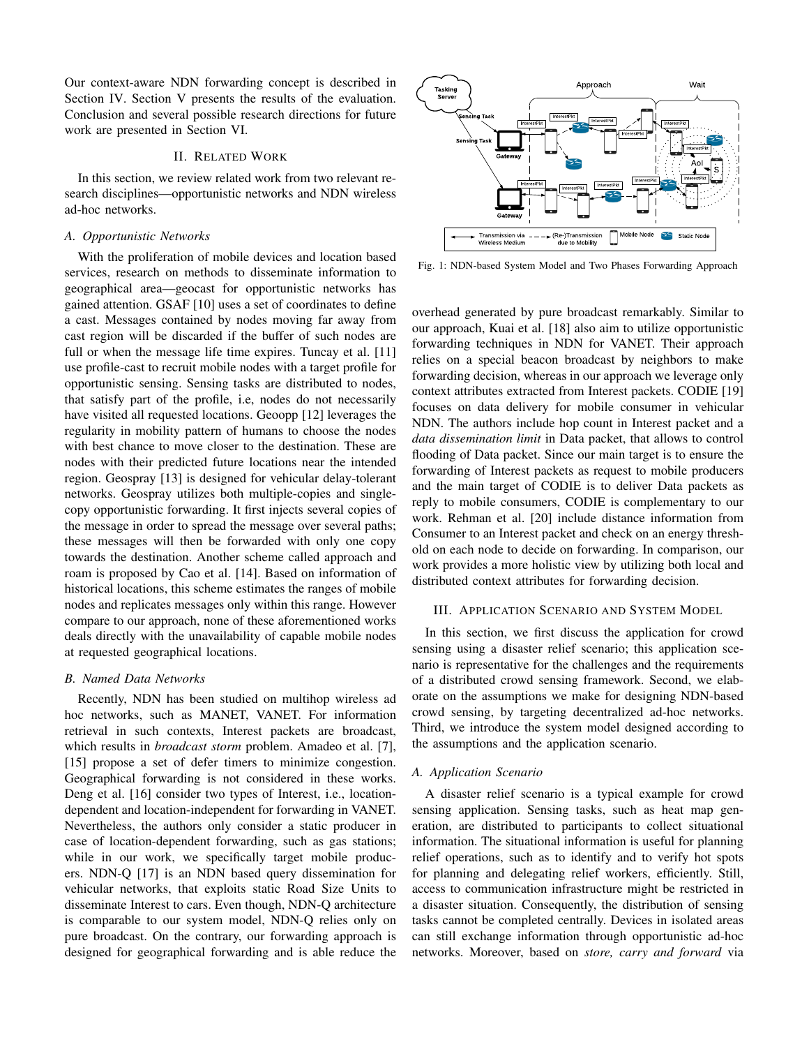Our context-aware NDN forwarding concept is described in Section IV. Section V presents the results of the evaluation. Conclusion and several possible research directions for future work are presented in Section VI.

# II. RELATED WORK

In this section, we review related work from two relevant research disciplines—opportunistic networks and NDN wireless ad-hoc networks.

## *A. Opportunistic Networks*

With the proliferation of mobile devices and location based services, research on methods to disseminate information to geographical area—geocast for opportunistic networks has gained attention. GSAF [10] uses a set of coordinates to define a cast. Messages contained by nodes moving far away from cast region will be discarded if the buffer of such nodes are full or when the message life time expires. Tuncay et al. [11] use profile-cast to recruit mobile nodes with a target profile for opportunistic sensing. Sensing tasks are distributed to nodes, that satisfy part of the profile, i.e, nodes do not necessarily have visited all requested locations. Geoopp [12] leverages the regularity in mobility pattern of humans to choose the nodes with best chance to move closer to the destination. These are nodes with their predicted future locations near the intended region. Geospray [13] is designed for vehicular delay-tolerant networks. Geospray utilizes both multiple-copies and singlecopy opportunistic forwarding. It first injects several copies of the message in order to spread the message over several paths; these messages will then be forwarded with only one copy towards the destination. Another scheme called approach and roam is proposed by Cao et al. [14]. Based on information of historical locations, this scheme estimates the ranges of mobile nodes and replicates messages only within this range. However compare to our approach, none of these aforementioned works deals directly with the unavailability of capable mobile nodes at requested geographical locations.

# *B. Named Data Networks*

Recently, NDN has been studied on multihop wireless ad hoc networks, such as MANET, VANET. For information retrieval in such contexts, Interest packets are broadcast, which results in *broadcast storm* problem. Amadeo et al. [7], [15] propose a set of defer timers to minimize congestion. Geographical forwarding is not considered in these works. Deng et al. [16] consider two types of Interest, i.e., locationdependent and location-independent for forwarding in VANET. Nevertheless, the authors only consider a static producer in case of location-dependent forwarding, such as gas stations; while in our work, we specifically target mobile producers. NDN-Q [17] is an NDN based query dissemination for vehicular networks, that exploits static Road Size Units to disseminate Interest to cars. Even though, NDN-Q architecture is comparable to our system model, NDN-Q relies only on pure broadcast. On the contrary, our forwarding approach is designed for geographical forwarding and is able reduce the



Fig. 1: NDN-based System Model and Two Phases Forwarding Approach

overhead generated by pure broadcast remarkably. Similar to our approach, Kuai et al. [18] also aim to utilize opportunistic forwarding techniques in NDN for VANET. Their approach relies on a special beacon broadcast by neighbors to make forwarding decision, whereas in our approach we leverage only context attributes extracted from Interest packets. CODIE [19] focuses on data delivery for mobile consumer in vehicular NDN. The authors include hop count in Interest packet and a *data dissemination limit* in Data packet, that allows to control flooding of Data packet. Since our main target is to ensure the forwarding of Interest packets as request to mobile producers and the main target of CODIE is to deliver Data packets as reply to mobile consumers, CODIE is complementary to our work. Rehman et al. [20] include distance information from Consumer to an Interest packet and check on an energy threshold on each node to decide on forwarding. In comparison, our work provides a more holistic view by utilizing both local and distributed context attributes for forwarding decision.

## III. APPLICATION SCENARIO AND SYSTEM MODEL

In this section, we first discuss the application for crowd sensing using a disaster relief scenario; this application scenario is representative for the challenges and the requirements of a distributed crowd sensing framework. Second, we elaborate on the assumptions we make for designing NDN-based crowd sensing, by targeting decentralized ad-hoc networks. Third, we introduce the system model designed according to the assumptions and the application scenario.

# *A. Application Scenario*

A disaster relief scenario is a typical example for crowd sensing application. Sensing tasks, such as heat map generation, are distributed to participants to collect situational information. The situational information is useful for planning relief operations, such as to identify and to verify hot spots for planning and delegating relief workers, efficiently. Still, access to communication infrastructure might be restricted in a disaster situation. Consequently, the distribution of sensing tasks cannot be completed centrally. Devices in isolated areas can still exchange information through opportunistic ad-hoc networks. Moreover, based on *store, carry and forward* via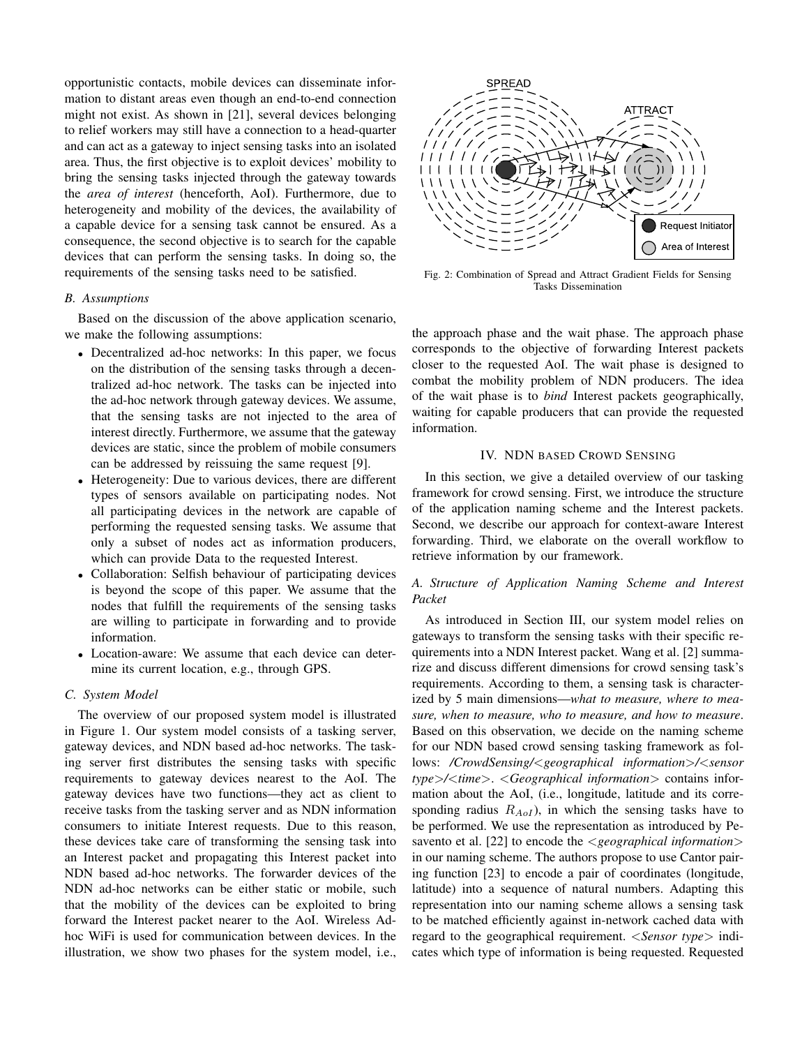opportunistic contacts, mobile devices can disseminate information to distant areas even though an end-to-end connection might not exist. As shown in [21], several devices belonging to relief workers may still have a connection to a head-quarter and can act as a gateway to inject sensing tasks into an isolated area. Thus, the first objective is to exploit devices' mobility to bring the sensing tasks injected through the gateway towards the *area of interest* (henceforth, AoI). Furthermore, due to heterogeneity and mobility of the devices, the availability of a capable device for a sensing task cannot be ensured. As a consequence, the second objective is to search for the capable devices that can perform the sensing tasks. In doing so, the requirements of the sensing tasks need to be satisfied.

## *B. Assumptions*

Based on the discussion of the above application scenario, we make the following assumptions:

- Decentralized ad-hoc networks: In this paper, we focus on the distribution of the sensing tasks through a decentralized ad-hoc network. The tasks can be injected into the ad-hoc network through gateway devices. We assume, that the sensing tasks are not injected to the area of interest directly. Furthermore, we assume that the gateway devices are static, since the problem of mobile consumers can be addressed by reissuing the same request [9].
- Heterogeneity: Due to various devices, there are different types of sensors available on participating nodes. Not all participating devices in the network are capable of performing the requested sensing tasks. We assume that only a subset of nodes act as information producers, which can provide Data to the requested Interest.
- Collaboration: Selfish behaviour of participating devices is beyond the scope of this paper. We assume that the nodes that fulfill the requirements of the sensing tasks are willing to participate in forwarding and to provide information.
- Location-aware: We assume that each device can determine its current location, e.g., through GPS.

# *C. System Model*

The overview of our proposed system model is illustrated in Figure 1. Our system model consists of a tasking server, gateway devices, and NDN based ad-hoc networks. The tasking server first distributes the sensing tasks with specific requirements to gateway devices nearest to the AoI. The gateway devices have two functions—they act as client to receive tasks from the tasking server and as NDN information consumers to initiate Interest requests. Due to this reason, these devices take care of transforming the sensing task into an Interest packet and propagating this Interest packet into NDN based ad-hoc networks. The forwarder devices of the NDN ad-hoc networks can be either static or mobile, such that the mobility of the devices can be exploited to bring forward the Interest packet nearer to the AoI. Wireless Adhoc WiFi is used for communication between devices. In the illustration, we show two phases for the system model, i.e.,



Fig. 2: Combination of Spread and Attract Gradient Fields for Sensing Tasks Dissemination

the approach phase and the wait phase. The approach phase corresponds to the objective of forwarding Interest packets closer to the requested AoI. The wait phase is designed to combat the mobility problem of NDN producers. The idea of the wait phase is to *bind* Interest packets geographically, waiting for capable producers that can provide the requested information.

# IV. NDN BASED CROWD SENSING

In this section, we give a detailed overview of our tasking framework for crowd sensing. First, we introduce the structure of the application naming scheme and the Interest packets. Second, we describe our approach for context-aware Interest forwarding. Third, we elaborate on the overall workflow to retrieve information by our framework.

# *A. Structure of Application Naming Scheme and Interest Packet*

As introduced in Section III, our system model relies on gateways to transform the sensing tasks with their specific requirements into a NDN Interest packet. Wang et al. [2] summarize and discuss different dimensions for crowd sensing task's requirements. According to them, a sensing task is characterized by 5 main dimensions—*what to measure, where to measure, when to measure, who to measure, and how to measure*. Based on this observation, we decide on the naming scheme for our NDN based crowd sensing tasking framework as follows: */CrowdSensing/*<*geographical information*>*/*<*sensor type*>*/*<*time*>. <*Geographical information*> contains information about the AoI, (i.e., longitude, latitude and its corresponding radius  $R_{AoI}$ ), in which the sensing tasks have to be performed. We use the representation as introduced by Pesavento et al. [22] to encode the <*geographical information*> in our naming scheme. The authors propose to use Cantor pairing function [23] to encode a pair of coordinates (longitude, latitude) into a sequence of natural numbers. Adapting this representation into our naming scheme allows a sensing task to be matched efficiently against in-network cached data with regard to the geographical requirement. <*Sensor type*> indicates which type of information is being requested. Requested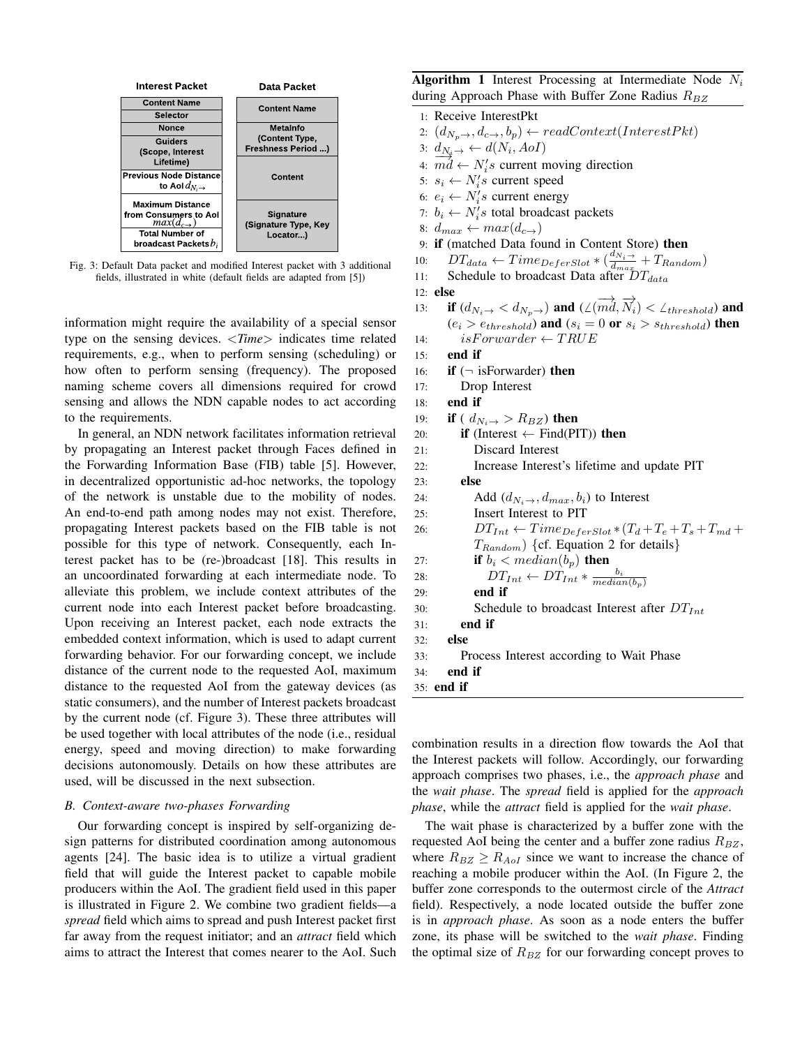

Fig. 3: Default Data packet and modified Interest packet with 3 additional fields, illustrated in white (default fields are adapted from [5])

information might require the availability of a special sensor type on the sensing devices. <*Time*> indicates time related requirements, e.g., when to perform sensing (scheduling) or how often to perform sensing (frequency). The proposed naming scheme covers all dimensions required for crowd sensing and allows the NDN capable nodes to act according to the requirements.

In general, an NDN network facilitates information retrieval by propagating an Interest packet through Faces defined in the Forwarding Information Base (FIB) table [5]. However, in decentralized opportunistic ad-hoc networks, the topology of the network is unstable due to the mobility of nodes. An end-to-end path among nodes may not exist. Therefore, propagating Interest packets based on the FIB table is not possible for this type of network. Consequently, each Interest packet has to be (re-)broadcast [18]. This results in an uncoordinated forwarding at each intermediate node. To alleviate this problem, we include context attributes of the current node into each Interest packet before broadcasting. Upon receiving an Interest packet, each node extracts the embedded context information, which is used to adapt current forwarding behavior. For our forwarding concept, we include distance of the current node to the requested AoI, maximum distance to the requested AoI from the gateway devices (as static consumers), and the number of Interest packets broadcast by the current node (cf. Figure 3). These three attributes will be used together with local attributes of the node (i.e., residual energy, speed and moving direction) to make forwarding decisions autonomously. Details on how these attributes are used, will be discussed in the next subsection.

# *B. Context-aware two-phases Forwarding*

Our forwarding concept is inspired by self-organizing design patterns for distributed coordination among autonomous agents [24]. The basic idea is to utilize a virtual gradient field that will guide the Interest packet to capable mobile producers within the AoI. The gradient field used in this paper is illustrated in Figure 2. We combine two gradient fields—a *spread* field which aims to spread and push Interest packet first far away from the request initiator; and an *attract* field which aims to attract the Interest that comes nearer to the AoI. Such **Algorithm 1** Interest Processing at Intermediate Node  $N_i$ during Approach Phase with Buffer Zone Radius  $R_{BZ}$ 

```
1: Receive InterestPkt
```
- 2:  $(d_{N_p \to \dots} d_{c \to \dots} b_p) \leftarrow readContext(InterestPkt)$
- 3:  $d_{N_i} \to \leftarrow d(N_i, AoI)$
- 4:  $\frac{dN_i}{md} \leftarrow N'_i s$  current moving direction
- 5:  $s_i \leftarrow N_i's$  current speed
- 6:  $e_i \leftarrow N_i's$  current energy
- 7:  $b_i \leftarrow N_i's$  total broadcast packets
- 8:  $d_{max} \leftarrow max(d_{c\rightarrow})$
- 9: if (matched Data found in Content Store) then
- 10:  $DT_{data} \leftarrow Time_{DeferSlot} * (\frac{d_{N_i \rightarrow}}{d_{max}} + T_{Random})$
- 11: Schedule to broadcast Data after  $DT_{data}$

```
12: else
```
- 13: **if**  $(d_{N_i \to \text{A}_{N_p \to \text{A}})$  and  $(\angle (\overrightarrow{md}, \overrightarrow{N_i}) < \angle_{threshold})$  and  $(e_i > e_{threshold})$  and  $(s_i = 0$  or  $s_i > s_{threshold})$  then 14:  $isForwarder \leftarrow TRUE$
- 15: end if
	-
- 16: **if**  $(\neg$  is Forwarder) then

```
17: Drop Interest
```
18: end if

- 19: **if** (  $d_{N_i \rightarrow} > R_{BZ}$ ) then
- 20: **if** (Interest  $\leftarrow$  Find(PIT)) then

| 21: | Discard Interest                                                     |  |
|-----|----------------------------------------------------------------------|--|
| 22: | Increase Interest's lifetime and update PIT                          |  |
| 23: | else                                                                 |  |
| 24: | Add $(d_{N_i}\rightarrow, d_{max}, b_i)$ to Interest                 |  |
| 25: | Insert Interest to PIT                                               |  |
| 26: | $DT_{Int} \leftarrow Time_{DeferSlot} * (T_d + T_e + T_s + T_{md} +$ |  |
|     | $T_{Random}$ {cf. Equation 2 for details}                            |  |
| 27: | <b>if</b> $b_i$ < median( $b_p$ ) <b>then</b>                        |  |
| 28: | $DT_{Int} \leftarrow DT_{Int} * \frac{b_i}{median(b_n)}$             |  |
| 29: | end if                                                               |  |
| 30: | Schedule to broadcast Interest after $DT_{Int}$                      |  |
| 31: | end if                                                               |  |
| 32: | else                                                                 |  |
| 33: | Process Interest according to Wait Phase                             |  |
| 34: | end if                                                               |  |

35: end if

combination results in a direction flow towards the AoI that the Interest packets will follow. Accordingly, our forwarding approach comprises two phases, i.e., the *approach phase* and the *wait phase*. The *spread* field is applied for the *approach phase*, while the *attract* field is applied for the *wait phase*.

The wait phase is characterized by a buffer zone with the requested AoI being the center and a buffer zone radius  $R_{BZ}$ , where  $R_{BZ} \geq R_{AoI}$  since we want to increase the chance of reaching a mobile producer within the AoI. (In Figure 2, the buffer zone corresponds to the outermost circle of the *Attract* field). Respectively, a node located outside the buffer zone is in *approach phase*. As soon as a node enters the buffer zone, its phase will be switched to the *wait phase*. Finding the optimal size of  $R_{BZ}$  for our forwarding concept proves to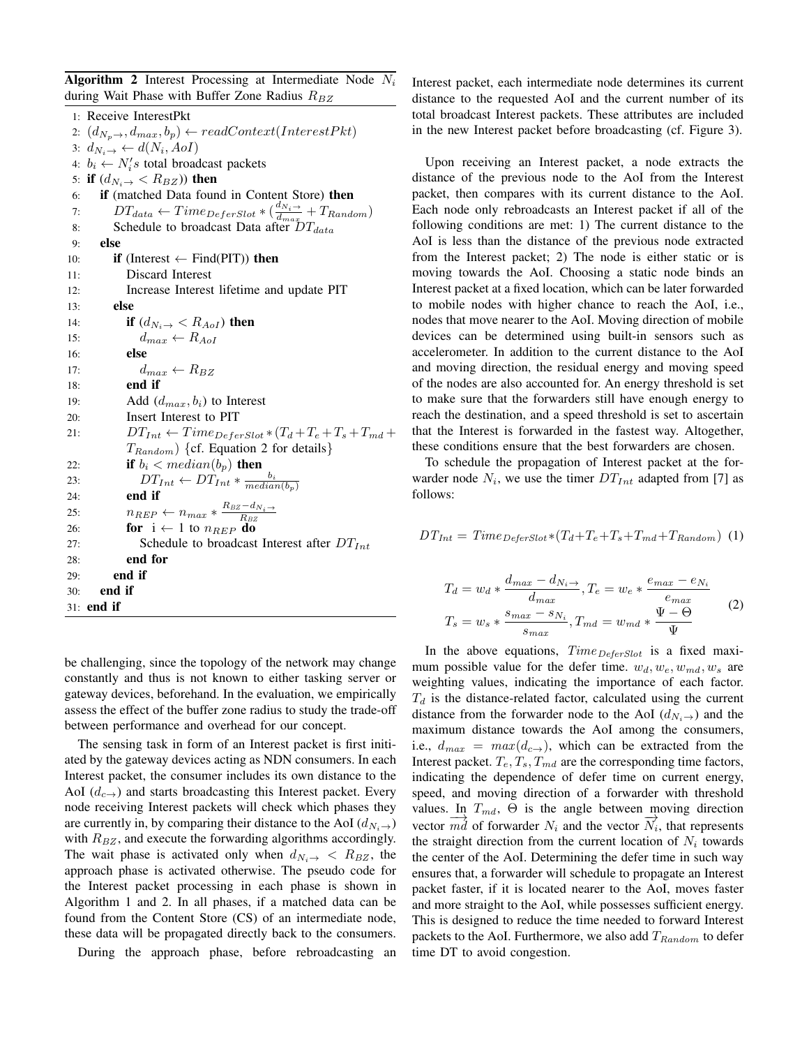**Algorithm 2** Interest Processing at Intermediate Node  $N_i$ during Wait Phase with Buffer Zone Radius  $R_{BZ}$ 

1: Receive InterestPkt 2:  $(d_{N_n}\rightarrow, d_{max}, b_p) \leftarrow readContext(InterestPkt)$ 3:  $d_{N_i} \to \leftarrow d(N_i, AoI)$ 4:  $b_i \leftarrow N_i's$  total broadcast packets 5: if  $(d_{N_i}\rightarrow R_{BZ})$  then 6: if (matched Data found in Content Store) then 7:  $DT_{data} \leftarrow Time_{Deferslot} * (\frac{d_{N_i \rightarrow}}{d_{max}} + T_{Random})$ 8: Schedule to broadcast Data after  $DT_{data}$ 9: else 10: **if** (Interest  $\leftarrow$  Find(PIT)) then 11: Discard Interest 12: Increase Interest lifetime and update PIT 13: else 14: **if**  $(d_{N_i}\rightarrow R_{AoI})$  then 15:  $d_{max} \leftarrow R_{AoI}$ 16: else 17:  $d_{max} \leftarrow R_{BZ}$ 18: end if 19: Add  $(d_{max}, b_i)$  to Interest 20: Insert Interest to PIT 21:  $DT_{Int} \leftarrow Time_{Deferslot} * (T_d + T_e + T_s + T_{md} +$  $T_{Random}$ ) {cf. Equation 2 for details} 22: **if**  $b_i < median(b_p)$  then 23:  $DT_{Int} \leftarrow DT_{Int} * \frac{b_i}{median(b_p)}$ 24: end if 25:  $n_{REP} \leftarrow n_{max} * \frac{R_{BZ} - d_{N_i \rightarrow}}{R_{BZ}}$ 26: **for**  $i \leftarrow 1$  to  $n_{REP}$  **do** 27: Schedule to broadcast Interest after  $DT_{Int}$ 28: end for 29: end if 30: end if 31: end if

be challenging, since the topology of the network may change constantly and thus is not known to either tasking server or gateway devices, beforehand. In the evaluation, we empirically assess the effect of the buffer zone radius to study the trade-off between performance and overhead for our concept.

The sensing task in form of an Interest packet is first initiated by the gateway devices acting as NDN consumers. In each Interest packet, the consumer includes its own distance to the AoI ( $d_{c\rightarrow}$ ) and starts broadcasting this Interest packet. Every node receiving Interest packets will check which phases they are currently in, by comparing their distance to the AoI  $(d_{N_i}\rightarrow)$ with  $R_{BZ}$ , and execute the forwarding algorithms accordingly. The wait phase is activated only when  $d_{N_i}\to R_{BZ}$ , the approach phase is activated otherwise. The pseudo code for the Interest packet processing in each phase is shown in Algorithm 1 and 2. In all phases, if a matched data can be found from the Content Store (CS) of an intermediate node, these data will be propagated directly back to the consumers.

During the approach phase, before rebroadcasting an

Interest packet, each intermediate node determines its current distance to the requested AoI and the current number of its total broadcast Interest packets. These attributes are included in the new Interest packet before broadcasting (cf. Figure 3).

Upon receiving an Interest packet, a node extracts the distance of the previous node to the AoI from the Interest packet, then compares with its current distance to the AoI. Each node only rebroadcasts an Interest packet if all of the following conditions are met: 1) The current distance to the AoI is less than the distance of the previous node extracted from the Interest packet; 2) The node is either static or is moving towards the AoI. Choosing a static node binds an Interest packet at a fixed location, which can be later forwarded to mobile nodes with higher chance to reach the AoI, i.e., nodes that move nearer to the AoI. Moving direction of mobile devices can be determined using built-in sensors such as accelerometer. In addition to the current distance to the AoI and moving direction, the residual energy and moving speed of the nodes are also accounted for. An energy threshold is set to make sure that the forwarders still have enough energy to reach the destination, and a speed threshold is set to ascertain that the Interest is forwarded in the fastest way. Altogether, these conditions ensure that the best forwarders are chosen.

To schedule the propagation of Interest packet at the forwarder node  $N_i$ , we use the timer  $DT_{Int}$  adapted from [7] as follows:

$$
DT_{Int} = Time_{Deferslot} * (T_d + T_e + T_s + T_{md} + T_{Random})
$$
 (1)

$$
T_d = w_d * \frac{d_{max} - d_{N_i \to}}{d_{max}}, T_e = w_e * \frac{e_{max} - e_{N_i}}{e_{max}}
$$
  
\n
$$
T_s = w_s * \frac{s_{max} - s_{N_i}}{s_{max}}, T_{md} = w_{md} * \frac{\Psi - \Theta}{\Psi}
$$
 (2)

In the above equations,  $Time_{Deferslot}$  is a fixed maximum possible value for the defer time.  $w_d, w_e, w_{md}, w_s$  are weighting values, indicating the importance of each factor.  $T_d$  is the distance-related factor, calculated using the current distance from the forwarder node to the AoI  $(d_{N_i}\rightarrow)$  and the maximum distance towards the AoI among the consumers, i.e.,  $d_{max} = max(d_{c\rightarrow})$ , which can be extracted from the Interest packet.  $T_e, T_s, T_{md}$  are the corresponding time factors, indicating the dependence of defer time on current energy, speed, and moving direction of a forwarder with threshold values. In  $T_{md}$ ,  $\Theta$  is the angle between moving direction vector  $\overrightarrow{md}$  of forwarder  $N_i$  and the vector  $\overrightarrow{N_i}$ , that represents the straight direction from the current location of  $N_i$  towards the center of the AoI. Determining the defer time in such way ensures that, a forwarder will schedule to propagate an Interest packet faster, if it is located nearer to the AoI, moves faster and more straight to the AoI, while possesses sufficient energy. This is designed to reduce the time needed to forward Interest packets to the AoI. Furthermore, we also add  $T_{Random}$  to defer time DT to avoid congestion.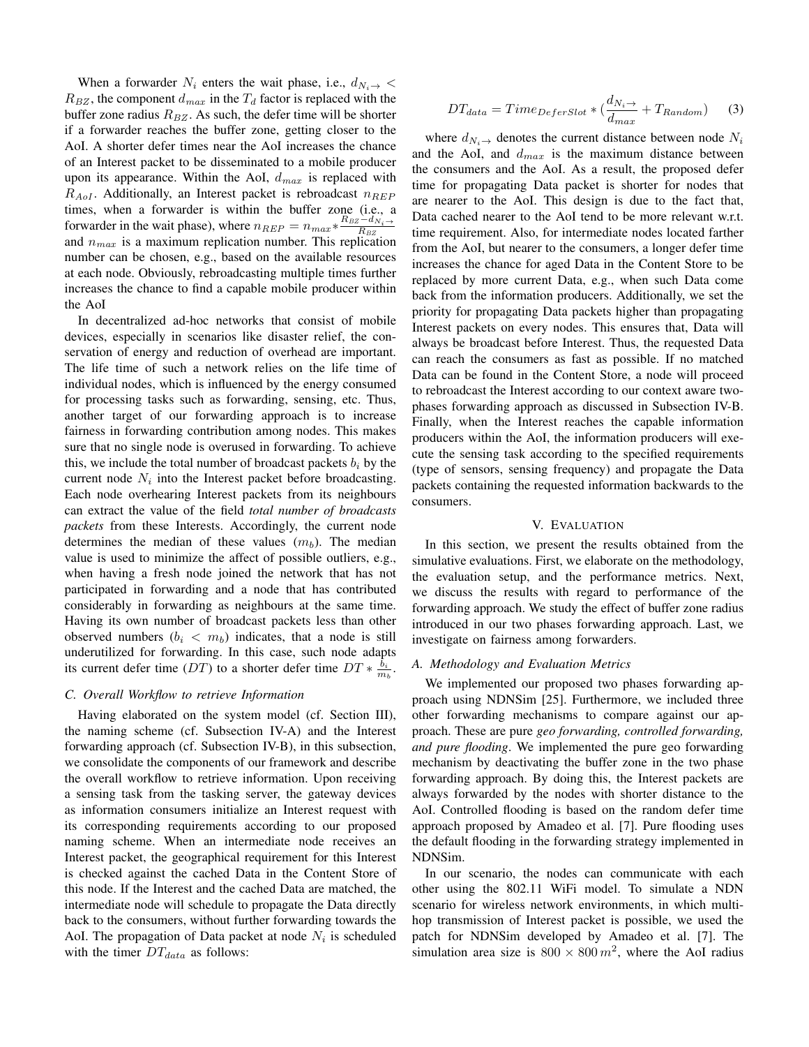When a forwarder  $N_i$  enters the wait phase, i.e.,  $d_{N_i} \rightarrow$  <  $R_{BZ}$ , the component  $d_{max}$  in the  $T_d$  factor is replaced with the buffer zone radius  $R_{BZ}$ . As such, the defer time will be shorter if a forwarder reaches the buffer zone, getting closer to the AoI. A shorter defer times near the AoI increases the chance of an Interest packet to be disseminated to a mobile producer upon its appearance. Within the AoI,  $d_{max}$  is replaced with  $R_{AoI}$ . Additionally, an Interest packet is rebroadcast  $n_{REP}$ times, when a forwarder is within the buffer zone (i.e., a forwarder in the wait phase), where  $n_{REP} = n_{max} * \frac{R_{BZ} - d_{N_i \to N}}{R_{BZ}}$ and  $n_{max}$  is a maximum replication number. This replication number can be chosen, e.g., based on the available resources at each node. Obviously, rebroadcasting multiple times further increases the chance to find a capable mobile producer within the AoI

In decentralized ad-hoc networks that consist of mobile devices, especially in scenarios like disaster relief, the conservation of energy and reduction of overhead are important. The life time of such a network relies on the life time of individual nodes, which is influenced by the energy consumed for processing tasks such as forwarding, sensing, etc. Thus, another target of our forwarding approach is to increase fairness in forwarding contribution among nodes. This makes sure that no single node is overused in forwarding. To achieve this, we include the total number of broadcast packets  $b_i$  by the current node  $N_i$  into the Interest packet before broadcasting. Each node overhearing Interest packets from its neighbours can extract the value of the field *total number of broadcasts packets* from these Interests. Accordingly, the current node determines the median of these values  $(m_b)$ . The median value is used to minimize the affect of possible outliers, e.g., when having a fresh node joined the network that has not participated in forwarding and a node that has contributed considerably in forwarding as neighbours at the same time. Having its own number of broadcast packets less than other observed numbers  $(b_i < m_b)$  indicates, that a node is still underutilized for forwarding. In this case, such node adapts its current defer time  $(DT)$  to a shorter defer time  $DT * \frac{b_i}{m_b}$ .

# *C. Overall Workflow to retrieve Information*

Having elaborated on the system model (cf. Section III), the naming scheme (cf. Subsection IV-A) and the Interest forwarding approach (cf. Subsection IV-B), in this subsection, we consolidate the components of our framework and describe the overall workflow to retrieve information. Upon receiving a sensing task from the tasking server, the gateway devices as information consumers initialize an Interest request with its corresponding requirements according to our proposed naming scheme. When an intermediate node receives an Interest packet, the geographical requirement for this Interest is checked against the cached Data in the Content Store of this node. If the Interest and the cached Data are matched, the intermediate node will schedule to propagate the Data directly back to the consumers, without further forwarding towards the AoI. The propagation of Data packet at node  $N_i$  is scheduled with the timer  $DT_{data}$  as follows:

$$
DT_{data} = Time_{DeferSlot} * (\frac{d_{N_i \rightarrow}}{d_{max}} + T_{Random})
$$
 (3)

where  $d_{N_i}$  denotes the current distance between node  $N_i$ and the AoI, and  $d_{max}$  is the maximum distance between the consumers and the AoI. As a result, the proposed defer time for propagating Data packet is shorter for nodes that are nearer to the AoI. This design is due to the fact that, Data cached nearer to the AoI tend to be more relevant w.r.t. time requirement. Also, for intermediate nodes located farther from the AoI, but nearer to the consumers, a longer defer time increases the chance for aged Data in the Content Store to be replaced by more current Data, e.g., when such Data come back from the information producers. Additionally, we set the priority for propagating Data packets higher than propagating Interest packets on every nodes. This ensures that, Data will always be broadcast before Interest. Thus, the requested Data can reach the consumers as fast as possible. If no matched Data can be found in the Content Store, a node will proceed to rebroadcast the Interest according to our context aware twophases forwarding approach as discussed in Subsection IV-B. Finally, when the Interest reaches the capable information producers within the AoI, the information producers will execute the sensing task according to the specified requirements (type of sensors, sensing frequency) and propagate the Data packets containing the requested information backwards to the consumers.

# V. EVALUATION

In this section, we present the results obtained from the simulative evaluations. First, we elaborate on the methodology, the evaluation setup, and the performance metrics. Next, we discuss the results with regard to performance of the forwarding approach. We study the effect of buffer zone radius introduced in our two phases forwarding approach. Last, we investigate on fairness among forwarders.

# *A. Methodology and Evaluation Metrics*

We implemented our proposed two phases forwarding approach using NDNSim [25]. Furthermore, we included three other forwarding mechanisms to compare against our approach. These are pure *geo forwarding, controlled forwarding, and pure flooding*. We implemented the pure geo forwarding mechanism by deactivating the buffer zone in the two phase forwarding approach. By doing this, the Interest packets are always forwarded by the nodes with shorter distance to the AoI. Controlled flooding is based on the random defer time approach proposed by Amadeo et al. [7]. Pure flooding uses the default flooding in the forwarding strategy implemented in NDNSim.

In our scenario, the nodes can communicate with each other using the 802.11 WiFi model. To simulate a NDN scenario for wireless network environments, in which multihop transmission of Interest packet is possible, we used the patch for NDNSim developed by Amadeo et al. [7]. The simulation area size is  $800 \times 800 \, m^2$ , where the AoI radius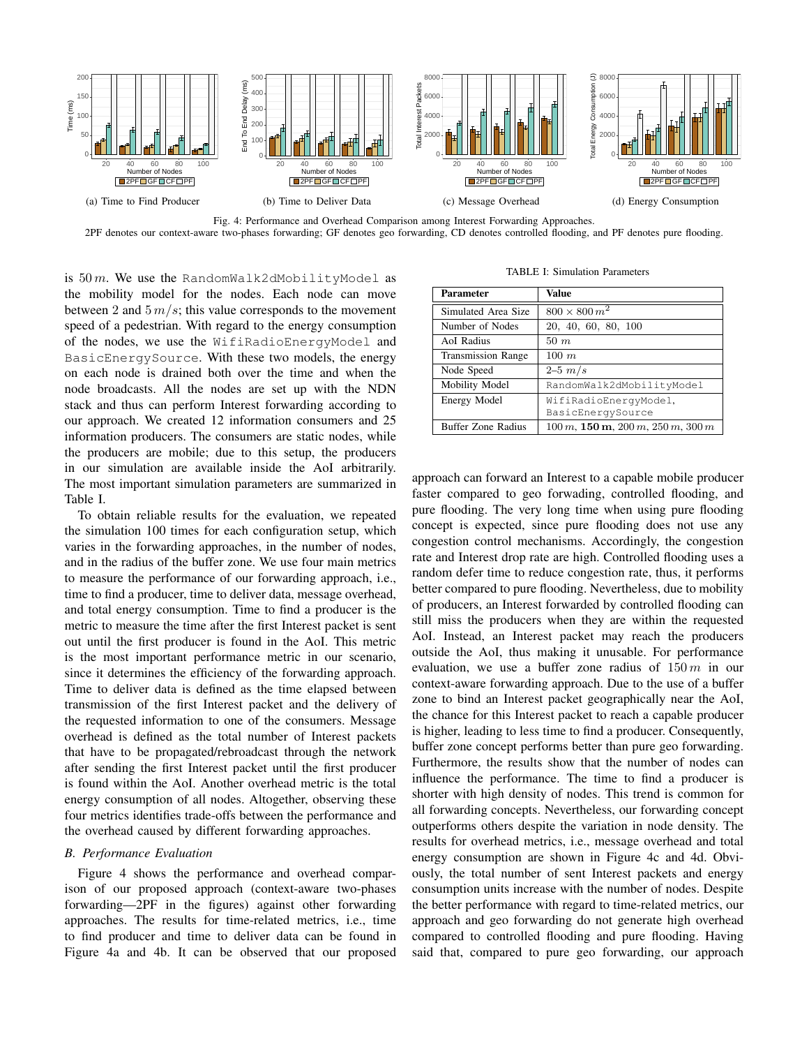

Fig. 4: Performance and Overhead Comparison among Interest Forwarding Approaches.

2PF denotes our context-aware two-phases forwarding; GF denotes geo forwarding, CD denotes controlled flooding, and PF denotes pure flooding.

is  $50 \, m$ . We use the RandomWalk2dMobilityModel as the mobility model for the nodes. Each node can move between 2 and  $5 \, m/s$ ; this value corresponds to the movement speed of a pedestrian. With regard to the energy consumption of the nodes, we use the WifiRadioEnergyModel and BasicEnergySource. With these two models, the energy on each node is drained both over the time and when the node broadcasts. All the nodes are set up with the NDN stack and thus can perform Interest forwarding according to our approach. We created 12 information consumers and 25 information producers. The consumers are static nodes, while the producers are mobile; due to this setup, the producers in our simulation are available inside the AoI arbitrarily. The most important simulation parameters are summarized in Table I.

To obtain reliable results for the evaluation, we repeated the simulation 100 times for each configuration setup, which varies in the forwarding approaches, in the number of nodes, and in the radius of the buffer zone. We use four main metrics to measure the performance of our forwarding approach, i.e., time to find a producer, time to deliver data, message overhead, and total energy consumption. Time to find a producer is the metric to measure the time after the first Interest packet is sent out until the first producer is found in the AoI. This metric is the most important performance metric in our scenario, since it determines the efficiency of the forwarding approach. Time to deliver data is defined as the time elapsed between transmission of the first Interest packet and the delivery of the requested information to one of the consumers. Message overhead is defined as the total number of Interest packets that have to be propagated/rebroadcast through the network after sending the first Interest packet until the first producer is found within the AoI. Another overhead metric is the total energy consumption of all nodes. Altogether, observing these four metrics identifies trade-offs between the performance and the overhead caused by different forwarding approaches.

# *B. Performance Evaluation*

Figure 4 shows the performance and overhead comparison of our proposed approach (context-aware two-phases forwarding—2PF in the figures) against other forwarding approaches. The results for time-related metrics, i.e., time to find producer and time to deliver data can be found in Figure 4a and 4b. It can be observed that our proposed

TABLE I: Simulation Parameters

| <b>Parameter</b>          | Value                                                          |
|---------------------------|----------------------------------------------------------------|
| Simulated Area Size       | $800 \times 800 m^2$                                           |
| Number of Nodes           | 20, 40, 60, 80, 100                                            |
| AoI Radius                | $50 \; m$                                                      |
| <b>Transmission Range</b> | $100 \; m$                                                     |
| Node Speed                | $2 - 5 \; m/s$                                                 |
| Mobility Model            | RandomWalk2dMobilityModel                                      |
| Energy Model              | WifiRadioEnergyModel,                                          |
|                           | BasicEnergySource                                              |
| <b>Buffer Zone Radius</b> | $100 \, m$ , $150 \, m$ , $200 \, m$ , $250 \, m$ , $300 \, m$ |

approach can forward an Interest to a capable mobile producer faster compared to geo forwading, controlled flooding, and pure flooding. The very long time when using pure flooding concept is expected, since pure flooding does not use any congestion control mechanisms. Accordingly, the congestion rate and Interest drop rate are high. Controlled flooding uses a random defer time to reduce congestion rate, thus, it performs better compared to pure flooding. Nevertheless, due to mobility of producers, an Interest forwarded by controlled flooding can still miss the producers when they are within the requested AoI. Instead, an Interest packet may reach the producers outside the AoI, thus making it unusable. For performance evaluation, we use a buffer zone radius of  $150 m$  in our context-aware forwarding approach. Due to the use of a buffer zone to bind an Interest packet geographically near the AoI, the chance for this Interest packet to reach a capable producer is higher, leading to less time to find a producer. Consequently, buffer zone concept performs better than pure geo forwarding. Furthermore, the results show that the number of nodes can influence the performance. The time to find a producer is shorter with high density of nodes. This trend is common for all forwarding concepts. Nevertheless, our forwarding concept outperforms others despite the variation in node density. The results for overhead metrics, i.e., message overhead and total energy consumption are shown in Figure 4c and 4d. Obviously, the total number of sent Interest packets and energy consumption units increase with the number of nodes. Despite the better performance with regard to time-related metrics, our approach and geo forwarding do not generate high overhead compared to controlled flooding and pure flooding. Having said that, compared to pure geo forwarding, our approach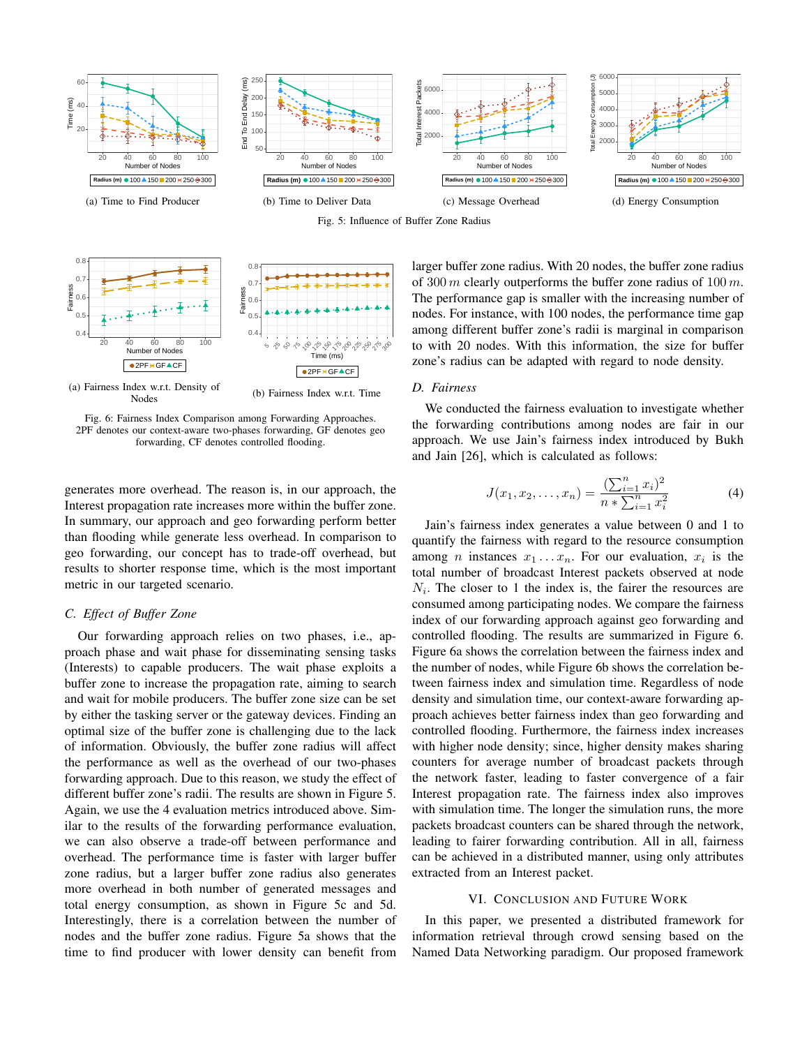

Fig. 5: Influence of Buffer Zone Radius



Fig. 6: Fairness Index Comparison among Forwarding Approaches. 2PF denotes our context-aware two-phases forwarding, GF denotes geo forwarding, CF denotes controlled flooding.

generates more overhead. The reason is, in our approach, the Interest propagation rate increases more within the buffer zone. In summary, our approach and geo forwarding perform better than flooding while generate less overhead. In comparison to geo forwarding, our concept has to trade-off overhead, but results to shorter response time, which is the most important metric in our targeted scenario.

# *C. Effect of Buffer Zone*

Our forwarding approach relies on two phases, i.e., approach phase and wait phase for disseminating sensing tasks (Interests) to capable producers. The wait phase exploits a buffer zone to increase the propagation rate, aiming to search and wait for mobile producers. The buffer zone size can be set by either the tasking server or the gateway devices. Finding an optimal size of the buffer zone is challenging due to the lack of information. Obviously, the buffer zone radius will affect the performance as well as the overhead of our two-phases forwarding approach. Due to this reason, we study the effect of different buffer zone's radii. The results are shown in Figure 5. Again, we use the 4 evaluation metrics introduced above. Similar to the results of the forwarding performance evaluation, we can also observe a trade-off between performance and overhead. The performance time is faster with larger buffer zone radius, but a larger buffer zone radius also generates more overhead in both number of generated messages and total energy consumption, as shown in Figure 5c and 5d. Interestingly, there is a correlation between the number of nodes and the buffer zone radius. Figure 5a shows that the time to find producer with lower density can benefit from

larger buffer zone radius. With 20 nodes, the buffer zone radius of 300 m clearly outperforms the buffer zone radius of  $100 \, m$ . The performance gap is smaller with the increasing number of nodes. For instance, with 100 nodes, the performance time gap among different buffer zone's radii is marginal in comparison to with 20 nodes. With this information, the size for buffer zone's radius can be adapted with regard to node density.

#### *D. Fairness*

We conducted the fairness evaluation to investigate whether the forwarding contributions among nodes are fair in our approach. We use Jain's fairness index introduced by Bukh and Jain [26], which is calculated as follows:

$$
J(x_1, x_2, \dots, x_n) = \frac{\left(\sum_{i=1}^n x_i\right)^2}{n * \sum_{i=1}^n x_i^2}
$$
 (4)

Jain's fairness index generates a value between 0 and 1 to quantify the fairness with regard to the resource consumption among *n* instances  $x_1 \ldots x_n$ . For our evaluation,  $x_i$  is the total number of broadcast Interest packets observed at node  $N_i$ . The closer to 1 the index is, the fairer the resources are consumed among participating nodes. We compare the fairness index of our forwarding approach against geo forwarding and controlled flooding. The results are summarized in Figure 6. Figure 6a shows the correlation between the fairness index and the number of nodes, while Figure 6b shows the correlation between fairness index and simulation time. Regardless of node density and simulation time, our context-aware forwarding approach achieves better fairness index than geo forwarding and controlled flooding. Furthermore, the fairness index increases with higher node density; since, higher density makes sharing counters for average number of broadcast packets through the network faster, leading to faster convergence of a fair Interest propagation rate. The fairness index also improves with simulation time. The longer the simulation runs, the more packets broadcast counters can be shared through the network, leading to fairer forwarding contribution. All in all, fairness can be achieved in a distributed manner, using only attributes extracted from an Interest packet.

## VI. CONCLUSION AND FUTURE WORK

In this paper, we presented a distributed framework for information retrieval through crowd sensing based on the Named Data Networking paradigm. Our proposed framework